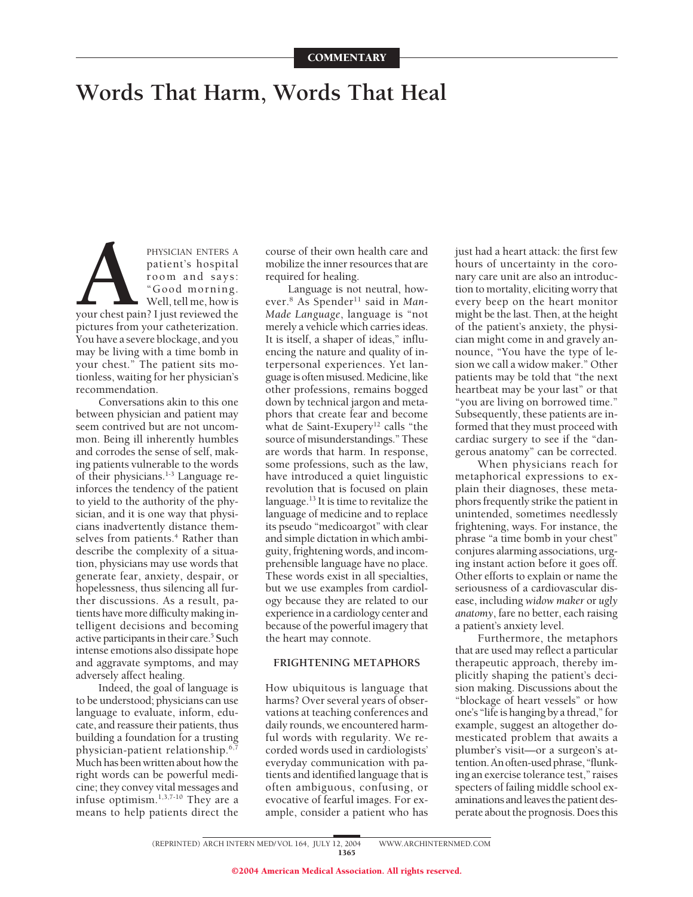# **Words That Harm, Words That Heal**

PHYSICIAN ENTERS A<br>
patient's hospital<br>
room and says:<br>
"Good morning.<br>
Well, tell me, how is<br>
your chest pain? I just reviewed the patient's hospital room and says: "Good morning. Well, tell me, how is pictures from your catheterization. You have a severe blockage, and you may be living with a time bomb in your chest." The patient sits motionless, waiting for her physician's recommendation.

Conversations akin to this one between physician and patient may seem contrived but are not uncommon. Being ill inherently humbles and corrodes the sense of self, making patients vulnerable to the words of their physicians.<sup>1-3</sup> Language reinforces the tendency of the patient to yield to the authority of the physician, and it is one way that physicians inadvertently distance themselves from patients.<sup>4</sup> Rather than describe the complexity of a situation, physicians may use words that generate fear, anxiety, despair, or hopelessness, thus silencing all further discussions. As a result, patients have more difficulty making intelligent decisions and becoming active participants in their care.5 **S**uch intense emotions also dissipate hope and aggravate symptoms, and may adversely affect healing.

Indeed, the goal of language is to be understood; physicians can use language to evaluate, inform, educate, and reassure their patients, thus building a foundation for a trusting physician-patient relationship.6,7 Much has been written about how the right words can be powerful medicine; they convey vital messages and infuse optimism.1,3,7-10 They are a means to help patients direct the course of their own health care and mobilize the inner resources that are required for healing.

Language is not neutral, however.<sup>8</sup> As Spender<sup>11</sup> said in Man-*Made Language*, language is "not merely a vehicle which carries ideas. It is itself, a shaper of ideas," influencing the nature and quality of interpersonal experiences. Yet language is often misused. Medicine, like other professions, remains bogged down by technical jargon and metaphors that create fear and become what de Saint-Exupery<sup>12</sup> calls "the source of misunderstandings." These are words that harm. In response, some professions, such as the law, have introduced a quiet linguistic revolution that is focused on plain language.<sup>13</sup> It is time to revitalize the language of medicine and to replace its pseudo "medicoargot" with clear and simple dictation in which ambiguity, frightening words, and incomprehensible language have no place. These words exist in all specialties, but we use examples from cardiology because they are related to our experience in a cardiology center and because of the powerful imagery that the heart may connote.

# **FRIGHTENING METAPHORS**

How ubiquitous is language that harms? Over several years of observations at teaching conferences and daily rounds, we encountered harmful words with regularity. We recorded words used in cardiologists' everyday communication with patients and identified language that is often ambiguous, confusing, or evocative of fearful images. For example, consider a patient who has

just had a heart attack: the first few hours of uncertainty in the coronary care unit are also an introduction to mortality, eliciting worry that every beep on the heart monitor might be the last. Then, at the height of the patient's anxiety, the physician might come in and gravely announce, "You have the type of lesion we call a widow maker." Other patients may be told that "the next heartbeat may be your last" or that "you are living on borrowed time." Subsequently, these patients are informed that they must proceed with cardiac surgery to see if the "dangerous anatomy" can be corrected.

When physicians reach for metaphorical expressions to explain their diagnoses, these metaphors frequently strike the patient in unintended, sometimes needlessly frightening, ways. For instance, the phrase "a time bomb in your chest" conjures alarming associations, urging instant action before it goes off. Other efforts to explain or name the seriousness of a cardiovascular disease, including *widow maker* or *ugly anatomy*, fare no better, each raising a patient's anxiety level.

Furthermore, the metaphors that are used may reflect a particular therapeutic approach, thereby implicitly shaping the patient's decision making. Discussions about the "blockage of heart vessels" or how one's "life is hanging by a thread," for example, suggest an altogether domesticated problem that awaits a plumber's visit—or a surgeon's attention.An often-used phrase, "flunking an exercise tolerance test," raises specters of failing middle school examinations and leaves the patient desperate about the prognosis. Does this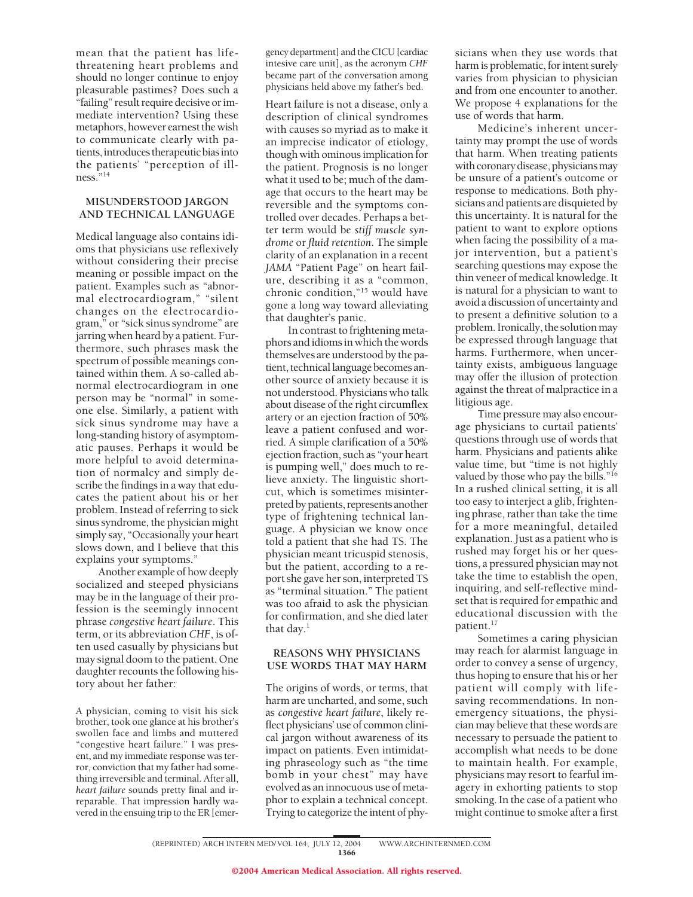mean that the patient has lifethreatening heart problems and should no longer continue to enjoy pleasurable pastimes? Does such a "failing" result require decisive orimmediate intervention? Using these metaphors, however earnest the wish to communicate clearly with patients, introduces therapeutic bias into the patients' "perception of illness."14

# **MISUNDERSTOOD JARGON AND TECHNICAL LANGUAGE**

Medical language also contains idioms that physicians use reflexively without considering their precise meaning or possible impact on the patient. Examples such as "abnormal electrocardiogram," "silent changes on the electrocardiogram," or "sick sinus syndrome" are jarring when heard by a patient. Furthermore, such phrases mask the spectrum of possible meanings contained within them. A so-called abnormal electrocardiogram in one person may be "normal" in someone else. Similarly, a patient with sick sinus syndrome may have a long-standing history of asymptomatic pauses. Perhaps it would be more helpful to avoid determination of normalcy and simply describe the findings in a way that educates the patient about his or her problem. Instead of referring to sick sinus syndrome, the physician might simply say, "Occasionally your heart slows down, and I believe that this explains your symptoms."

Another example of how deeply socialized and steeped physicians may be in the language of their profession is the seemingly innocent phrase *congestive heart failure*. This term, or its abbreviation *CHF*, is often used casually by physicians but may signal doom to the patient. One daughter recounts the following history about her father:

A physician, coming to visit his sick brother, took one glance at his brother's swollen face and limbs and muttered "congestive heart failure." I was present, and my immediate response was terror, conviction that my father had something irreversible and terminal. After all, *heart failure* sounds pretty final and irreparable. That impression hardly wavered in the ensuing trip to the ER [emergency department] and theCICU [cardiac intesive care unit], as the acronym *CHF* became part of the conversation among physicians held above my father's bed.

Heart failure is not a disease, only a description of clinical syndromes with causes so myriad as to make it an imprecise indicator of etiology, though with ominous implication for the patient. Prognosis is no longer what it used to be; much of the damage that occurs to the heart may be reversible and the symptoms controlled over decades. Perhaps a better term would be *stiff muscle syndrome* or *fluid retention*. The simple clarity of an explanation in a recent *JAMA* "Patient Page" on heart failure, describing it as a "common, chronic condition,"15 would have gone a long way toward alleviating that daughter's panic.

In contrast to frightening metaphors and idioms in which the words themselves are understood by the patient, technicallanguage becomes another source of anxiety because it is not understood. Physicians who talk about disease of the right circumflex artery or an ejection fraction of 50% leave a patient confused and worried. A simple clarification of a 50% ejection fraction, such as "your heart is pumping well," does much to relieve anxiety. The linguistic shortcut, which is sometimes misinterpreted by patients, represents another type of frightening technical language. A physician we know once told a patient that she had TS. The physician meant tricuspid stenosis, but the patient, according to a report she gave her son, interpreted TS as "terminal situation." The patient was too afraid to ask the physician for confirmation, and she died later that day. $<sup>1</sup>$ </sup>

# **REASONS WHY PHYSICIANS USE WORDS THAT MAY HARM**

The origins of words, or terms, that harm are uncharted, and some, such as *congestive heart failure*, likely reflect physicians' use of common clinical jargon without awareness of its impact on patients. Even intimidating phraseology such as "the time bomb in your chest" may have evolved as an innocuous use of metaphor to explain a technical concept. Trying to categorize the intent of physicians when they use words that harm is problematic, for intent surely varies from physician to physician and from one encounter to another. We propose 4 explanations for the use of words that harm.

Medicine's inherent uncertainty may prompt the use of words that harm. When treating patients with coronary disease, physicians may be unsure of a patient's outcome or response to medications. Both physicians and patients are disquieted by this uncertainty. It is natural for the patient to want to explore options when facing the possibility of a major intervention, but a patient's searching questions may expose the thin veneer of medical knowledge. It is natural for a physician to want to avoid a discussion of uncertainty and to present a definitive solution to a problem. Ironically, the solution may be expressed through language that harms. Furthermore, when uncertainty exists, ambiguous language may offer the illusion of protection against the threat of malpractice in a litigious age.

Time pressure may also encourage physicians to curtail patients' questions through use of words that harm. Physicians and patients alike value time, but "time is not highly valued by those who pay the bills."16 In a rushed clinical setting, it is all too easy to interject a glib, frightening phrase, rather than take the time for a more meaningful, detailed explanation. Just as a patient who is rushed may forget his or her questions, a pressured physician may not take the time to establish the open, inquiring, and self-reflective mindset that is required for empathic and educational discussion with the patient.<sup>17</sup>

Sometimes a caring physician may reach for alarmist language in order to convey a sense of urgency, thus hoping to ensure that his or her patient will comply with lifesaving recommendations. In nonemergency situations, the physician may believe that these words are necessary to persuade the patient to accomplish what needs to be done to maintain health. For example, physicians may resort to fearful imagery in exhorting patients to stop smoking. In the case of a patient who might continue to smoke after a first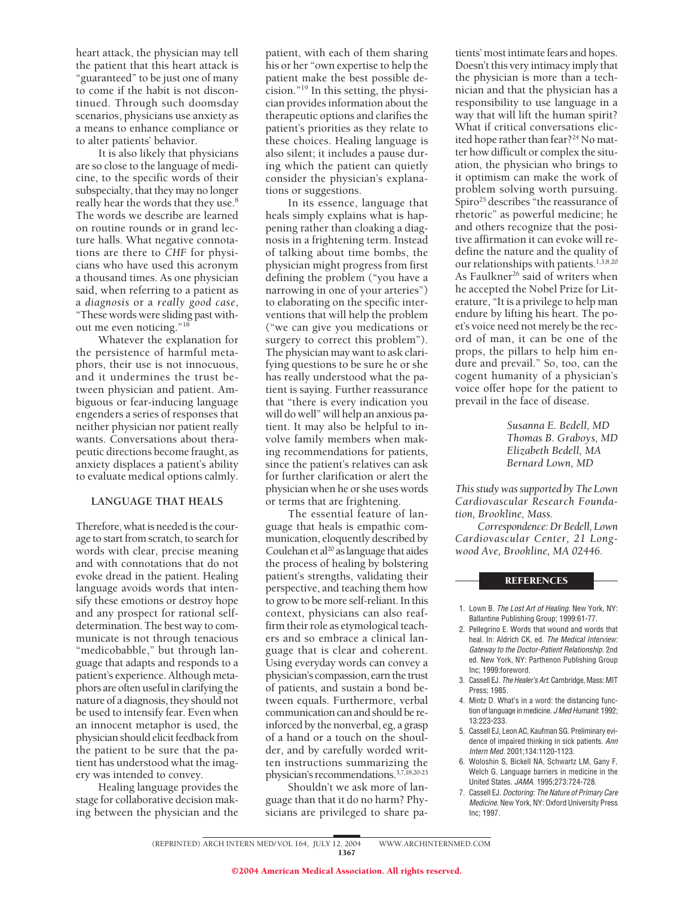heart attack, the physician may tell the patient that this heart attack is "guaranteed" to be just one of many to come if the habit is not discontinued. Through such doomsday scenarios, physicians use anxiety as a means to enhance compliance or to alter patients' behavior.

It is also likely that physicians are so close to the language of medicine, to the specific words of their subspecialty, that they may no longer really hear the words that they use.<sup>8</sup> The words we describe are learned on routine rounds or in grand lecture halls. What negative connotations are there to *CHF* for physicians who have used this acronym a thousand times. As one physician said, when referring to a patient as a *diagnosis* or a *really good case*, "These words were sliding past without me even noticing."<sup>18</sup>

Whatever the explanation for the persistence of harmful metaphors, their use is not innocuous, and it undermines the trust between physician and patient. Ambiguous or fear-inducing language engenders a series of responses that neither physician nor patient really wants. Conversations about therapeutic directions become fraught, as anxiety displaces a patient's ability to evaluate medical options calmly.

# **LANGUAGE THAT HEALS**

Therefore, what is needed is the courage to start from scratch, to search for words with clear, precise meaning and with connotations that do not evoke dread in the patient. Healing language avoids words that intensify these emotions or destroy hope and any prospect for rational selfdetermination. The best way to communicate is not through tenacious "medicobabble," but through language that adapts and responds to a patient's experience. Although metaphors are often useful in clarifying the nature of a diagnosis, they should not be used to intensify fear. Even when an innocent metaphor is used, the physician should elicit feedback from the patient to be sure that the patient has understood what the imagery was intended to convey.

Healing language provides the stage for collaborative decision making between the physician and the patient, with each of them sharing his or her "own expertise to help the patient make the best possible decision."19 In this setting, the physician provides information about the therapeutic options and clarifies the patient's priorities as they relate to these choices. Healing language is also silent; it includes a pause during which the patient can quietly consider the physician's explanations or suggestions.

In its essence, language that heals simply explains what is happening rather than cloaking a diagnosis in a frightening term. Instead of talking about time bombs, the physician might progress from first defining the problem ("you have a narrowing in one of your arteries") to elaborating on the specific interventions that will help the problem ("we can give you medications or surgery to correct this problem"). The physician may want to ask clarifying questions to be sure he or she has really understood what the patient is saying. Further reassurance that "there is every indication you will do well" will help an anxious patient. It may also be helpful to involve family members when making recommendations for patients, since the patient's relatives can ask for further clarification or alert the physician when he or she uses words or terms that are frightening.

The essential feature of language that heals is empathic communication, eloquently described by Coulehan et al<sup>20</sup> as language that aides the process of healing by bolstering patient's strengths, validating their perspective, and teaching them how to grow to be more self-reliant. In this context, physicians can also reaffirm their role as etymological teachers and so embrace a clinical language that is clear and coherent. Using everyday words can convey a physician's compassion, earn the trust of patients, and sustain a bond between equals. Furthermore, verbal communication can and should be reinforced by the nonverbal, eg, a grasp of a hand or a touch on the shoulder, and by carefully worded written instructions summarizing the physician's recommendations.3,7,18,20-23

Shouldn't we ask more of language than that it do no harm? Physicians are privileged to share patients' most intimate fears and hopes. Doesn't this very intimacy imply that the physician is more than a technician and that the physician has a responsibility to use language in a way that will lift the human spirit? What if critical conversations elicited hope rather than fear?<sup>24</sup> No matter how difficult or complex the situation, the physician who brings to it optimism can make the work of problem solving worth pursuing. Spiro<sup>25</sup> describes "the reassurance of rhetoric" as powerful medicine; he and others recognize that the positive affirmation it can evoke will redefine the nature and the quality of our relationships with patients.<sup>1,3,8,20</sup> As Faulkner<sup>26</sup> said of writers when he accepted the Nobel Prize for Literature, "It is a privilege to help man endure by lifting his heart. The poet's voice need not merely be the record of man, it can be one of the props, the pillars to help him endure and prevail." So, too, can the cogent humanity of a physician's voice offer hope for the patient to prevail in the face of disease.

> *Susanna E. Bedell, MD Thomas B. Graboys, MD Elizabeth Bedell, MA Bernard Lown, MD*

*This study was supported by The Lown Cardiovascular Research Foundation, Brookline, Mass.*

*Correspondence: Dr Bedell, Lown Cardiovascular Center, 21 Longwood Ave, Brookline, MA 02446.*

#### **REFERENCES**

- 1. Lown B. The Lost Art of Healing. New York, NY: Ballantine Publishing Group; 1999:61-77.
- 2. Pellegrino E. Words that wound and words that heal. In: Aldrich CK, ed. The Medical Interview: Gateway to the Doctor-Patient Relationship. 2nd ed. New York, NY: Parthenon Publishing Group Inc; 1999:foreword.
- 3. Cassell EJ. The Healer's Art. Cambridge, Mass: MIT Press; 1985.
- 4. Mintz D. What's in a word: the distancing function of language in medicine. J Med Humanit. 1992; 13:223-233.
- 5. Cassell EJ, Leon AC, Kaufman SG. Preliminary evidence of impaired thinking in sick patients. Ann Intern Med. 2001;134:1120-1123.
- 6. Woloshin S, Bickell NA, Schwartz LM, Gany F, Welch G. Language barriers in medicine in the United States. JAMA. 1995;273:724-728.
- 7. Cassell EJ. Doctoring: The Nature of Primary Care Medicine. New York, NY: Oxford University Press Inc; 1997.